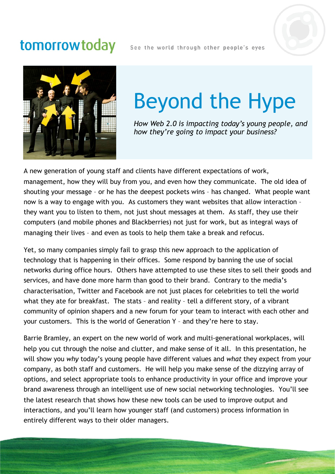## tomorrowtoday

See the world through other people's eyes





## Beyond the Hype

*How Web 2.0 is impacting today's young people, and how they're going to impact your business?*

A new generation of young staff and clients have different expectations of work, management, how they will buy from you, and even how they communicate. The old idea of shouting your message – or he has the deepest pockets wins – has changed. What people want now is a way to engage with you. As customers they want websites that allow interaction – they want you to listen to them, not just shout messages at them. As staff, they use their computers (and mobile phones and Blackberries) not just for work, but as integral ways of managing their lives – and even as tools to help them take a break and refocus.

Yet, so many companies simply fail to grasp this new approach to the application of technology that is happening in their offices. Some respond by banning the use of social networks during office hours. Others have attempted to use these sites to sell their goods and services, and have done more harm than good to their brand. Contrary to the media's characterisation, Twitter and Facebook are not just places for celebrities to tell the world what they ate for breakfast. The stats – and reality – tell a different story, of a vibrant community of opinion shapers and a new forum for your team to interact with each other and your customers. This is the world of Generation Y – and they're here to stay.

Barrie Bramley, an expert on the new world of work and multi-generational workplaces, will help you cut through the noise and clutter, and make sense of it all. In this presentation, he will show you *why* today's young people have different values and *what* they expect from your company, as both staff and customers. He will help you make sense of the dizzying array of options, and select appropriate tools to enhance productivity in your office and improve your brand awareness through an intelligent use of new social networking technologies. You'll see the latest research that shows how these new tools can be used to improve output and interactions, and you'll learn how younger staff (and customers) process information in entirely different ways to their older managers.